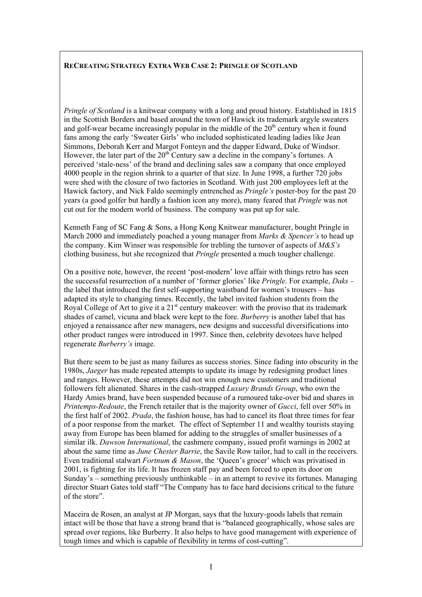## **RECREATING STRATEGY EXTRA WEB CASE 2: PRINGLE OF SCOTLAND**

*Pringle of Scotland* is a knitwear company with a long and proud history. Established in 1815 in the Scottish Borders and based around the town of Hawick its trademark argyle sweaters and golf-wear became increasingly popular in the middle of the  $20<sup>th</sup>$  century when it found fans among the early 'Sweater Girls' who included sophisticated leading ladies like Jean Simmons, Deborah Kerr and Margot Fonteyn and the dapper Edward, Duke of Windsor. However, the later part of the  $20<sup>th</sup>$  Century saw a decline in the company's fortunes. A perceived 'stale-ness' of the brand and declining sales saw a company that once employed 4000 people in the region shrink to a quarter of that size. In June 1998, a further 720 jobs were shed with the closure of two factories in Scotland. With just 200 employees left at the Hawick factory, and Nick Faldo seemingly entrenched as *Pringle's* poster-boy for the past 20 years (a good golfer but hardly a fashion icon any more), many feared that *Pringle* was not cut out for the modern world of business. The company was put up for sale.

Kenneth Fang of SC Fang & Sons, a Hong Kong Knitwear manufacturer, bought Pringle in March 2000 and immediately poached a young manager from *Marks & Spencer's* to head up the company. Kim Winser was responsible for trebling the turnover of aspects of *M&S's* clothing business, but she recognized that *Pringle* presented a much tougher challenge.

On a positive note, however, the recent 'post-modern' love affair with things retro has seen the successful resurrection of a number of 'former glories' like *Pringle*. For example, *Daks* – the label that introduced the first self-supporting waistband for women's trousers – has adapted its style to changing times. Recently, the label invited fashion students from the Royal College of Art to give it a  $21<sup>st</sup>$  century makeover: with the proviso that its trademark shades of camel, vicuna and black were kept to the fore. *Burberry* is another label that has enjoyed a renaissance after new managers, new designs and successful diversifications into other product ranges were introduced in 1997. Since then, celebrity devotees have helped regenerate *Burberry's* image.

But there seem to be just as many failures as success stories. Since fading into obscurity in the 1980s, *Jaeger* has made repeated attempts to update its image by redesigning product lines and ranges. However, these attempts did not win enough new customers and traditional followers felt alienated. Shares in the cash-strapped *Luxury Brands Group*, who own the Hardy Amies brand, have been suspended because of a rumoured take-over bid and shares in *Printemps-Redoute*, the French retailer that is the majority owner of *Gucci*, fell over 50% in the first half of 2002. *Prada*, the fashion house, has had to cancel its float three times for fear of a poor response from the market. The effect of September 11 and wealthy tourists staying away from Europe has been blamed for adding to the struggles of smaller businesses of a similar ilk. *Dawson International*, the cashmere company, issued profit warnings in 2002 at about the same time as *June Chester Barrie*, the Savile Row tailor, had to call in the receivers. Even traditional stalwart *Fortnum & Mason*, the 'Queen's grocer' which was privatised in 2001, is fighting for its life. It has frozen staff pay and been forced to open its door on Sunday's – something previously unthinkable – in an attempt to revive its fortunes. Managing director Stuart Gates told staff "The Company has to face hard decisions critical to the future of the store".

Maceira de Rosen, an analyst at JP Morgan, says that the luxury-goods labels that remain intact will be those that have a strong brand that is "balanced geographically, whose sales are spread over regions, like Burberry. It also helps to have good management with experience of tough times and which is capable of flexibility in terms of cost-cutting".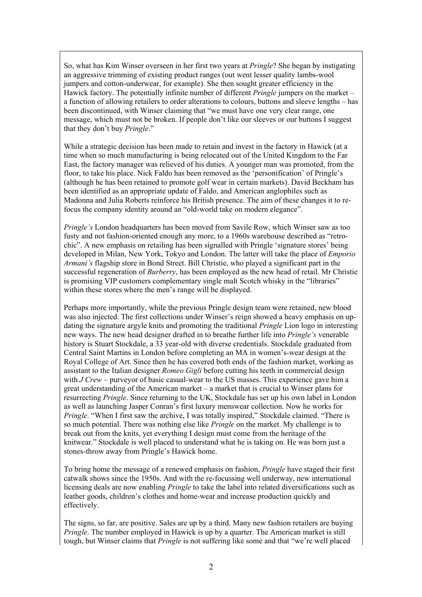So, what has Kim Winser overseen in her first two years at *Pringle*? She began by instigating an aggressive trimming of existing product ranges (out went lesser quality lambs-wool jumpers and cotton-underwear, for example). She then sought greater efficiency in the Hawick factory. The potentially infinite number of different *Pringle* jumpers on the market – a function of allowing retailers to order alterations to colours, buttons and sleeve lengths – has been discontinued, with Winser claiming that "we must have one very clear range, one message, which must not be broken. If people don't like our sleeves or our buttons I suggest that they don't buy *Pringle*."

While a strategic decision has been made to retain and invest in the factory in Hawick (at a time when so much manufacturing is being relocated out of the United Kingdom to the Far East, the factory manager was relieved of his duties. A younger man was promoted, from the floor, to take his place. Nick Faldo has been removed as the 'personification' of Pringle's (although he has been retained to promote golf wear in certain markets). David Beckham has been identified as an appropriate update of Faldo, and American anglophiles such as Madonna and Julia Roberts reinforce his British presence. The aim of these changes it to refocus the company identity around an "old-world take on modern elegance".

*Pringle's* London headquarters has been moved from Savile Row, which Winser saw as too fusty and not fashion-oriented enough any more, to a 1960s warehouse described as "retrochic". A new emphasis on retailing has been signalled with Pringle 'signature stores' being developed in Milan, New York, Tokyo and London. The latter will take the place of *Emporio Armani's* flagship store in Bond Street. Bill Christie, who played a significant part in the successful regeneration of *Burberry*, has been employed as the new head of retail. Mr Christie is promising VIP customers complementary single malt Scotch whisky in the "libraries" within these stores where the men's range will be displayed.

Perhaps more importantly, while the previous Pringle design team were retained, new blood was also injected. The first collections under Winser's reign showed a heavy emphasis on updating the signature argyle knits and promoting the traditional *Pringle* Lion logo in interesting new ways. The new head designer drafted in to breathe further life into *Pringle's* venerable history is Stuart Stockdale, a 33 year-old with diverse credentials. Stockdale graduated from Central Saint Martins in London before completing an MA in women's-wear design at the Royal College of Art. Since then he has covered both ends of the fashion market, working as assistant to the Italian designer *Romeo Gigli* before cutting his teeth in commercial design with *J Crew* – purveyor of basic casual-wear to the US masses. This experience gave him a great understanding of the American market – a market that is crucial to Winser plans for resurrecting *Pringle*. Since returning to the UK, Stockdale has set up his own label in London as well as launching Jasper Conran's first luxury menswear collection. Now he works for *Pringle*. "When I first saw the archive, I was totally inspired," Stockdale claimed. "There is so much potential. There was nothing else like *Pringle* on the market. My challenge is to break out from the knits, yet everything I design must come from the heritage of the knitwear." Stockdale is well placed to understand what he is taking on. He was born just a stones-throw away from Pringle's Hawick home.

To bring home the message of a renewed emphasis on fashion, *Pringle* have staged their first catwalk shows since the 1950s. And with the re-focussing well underway, new international licensing deals are now enabling *Pringle* to take the label into related diversifications such as leather goods, children's clothes and home-wear and increase production quickly and effectively.

The signs, so far, are positive. Sales are up by a third. Many new fashion retailers are buying *Pringle*. The number employed in Hawick is up by a quarter. The American market is still tough, but Winser claims that *Pringle* is not suffering like some and that "we're well placed